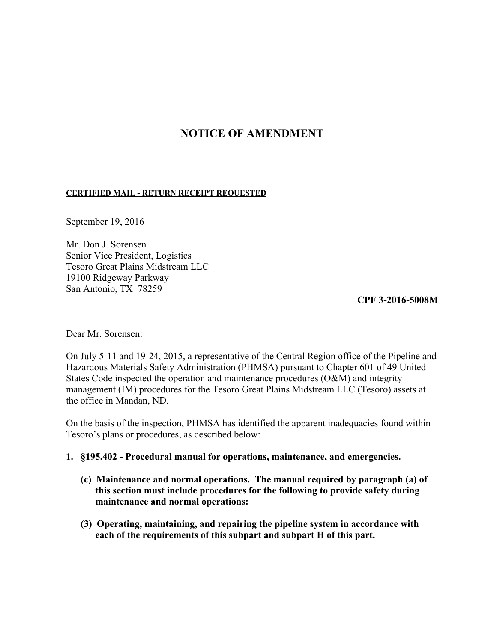# **NOTICE OF AMENDMENT**

#### **CERTIFIED MAIL - RETURN RECEIPT REQUESTED**

September 19, 2016

Mr. Don J. Sorensen Senior Vice President, Logistics Tesoro Great Plains Midstream LLC 19100 Ridgeway Parkway San Antonio, TX 78259

**CPF 3-2016-5008M** 

Dear Mr. Sorensen:

On July 5-11 and 19-24, 2015, a representative of the Central Region office of the Pipeline and Hazardous Materials Safety Administration (PHMSA) pursuant to Chapter 601 of 49 United States Code inspected the operation and maintenance procedures (O&M) and integrity management (IM) procedures for the Tesoro Great Plains Midstream LLC (Tesoro) assets at the office in Mandan, ND.

On the basis of the inspection, PHMSA has identified the apparent inadequacies found within Tesoro's plans or procedures, as described below:

#### **1. §195.402 - Procedural manual for operations, maintenance, and emergencies.**

- **(c) Maintenance and normal operations. The manual required by paragraph (a) of this section must include procedures for the following to provide safety during maintenance and normal operations:**
- **(3) Operating, maintaining, and repairing the pipeline system in accordance with each of the requirements of this subpart and subpart H of this part.**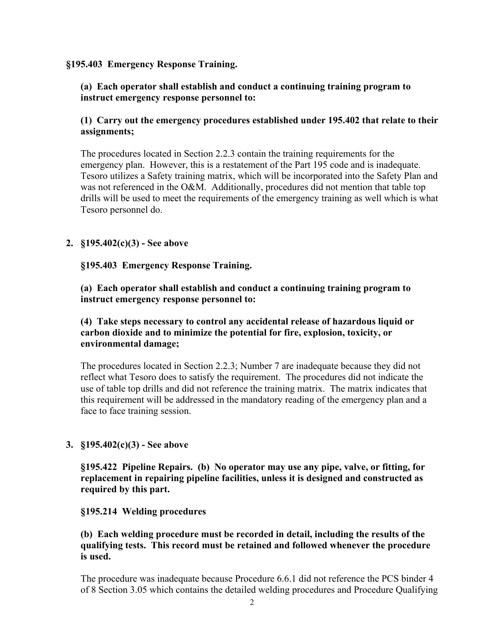#### **§195.403 Emergency Response Training.**

## **(a) Each operator shall establish and conduct a continuing training program to instruct emergency response personnel to:**

## **(1) Carry out the emergency procedures established under 195.402 that relate to their assignments;**

The procedures located in Section 2.2.3 contain the training requirements for the emergency plan. However, this is a restatement of the Part 195 code and is inadequate. Tesoro utilizes a Safety training matrix, which will be incorporated into the Safety Plan and was not referenced in the O&M. Additionally, procedures did not mention that table top drills will be used to meet the requirements of the emergency training as well which is what Tesoro personnel do.

## **2. §195.402(c)(3) - See above**

 **§195.403 Emergency Response Training.** 

**(a) Each operator shall establish and conduct a continuing training program to instruct emergency response personnel to:** 

## **(4) Take steps necessary to control any accidental release of hazardous liquid or carbon dioxide and to minimize the potential for fire, explosion, toxicity, or environmental damage;**

The procedures located in Section 2.2.3; Number 7 are inadequate because they did not reflect what Tesoro does to satisfy the requirement. The procedures did not indicate the use of table top drills and did not reference the training matrix. The matrix indicates that this requirement will be addressed in the mandatory reading of the emergency plan and a face to face training session.

## **3. §195.402(c)(3) - See above**

**§195.422 Pipeline Repairs. (b) No operator may use any pipe, valve, or fitting, for replacement in repairing pipeline facilities, unless it is designed and constructed as required by this part.** 

#### **§195.214 Welding procedures**

#### **(b) Each welding procedure must be recorded in detail, including the results of the qualifying tests. This record must be retained and followed whenever the procedure is used.**

The procedure was inadequate because Procedure 6.6.1 did not reference the PCS binder 4 of 8 Section 3.05 which contains the detailed welding procedures and Procedure Qualifying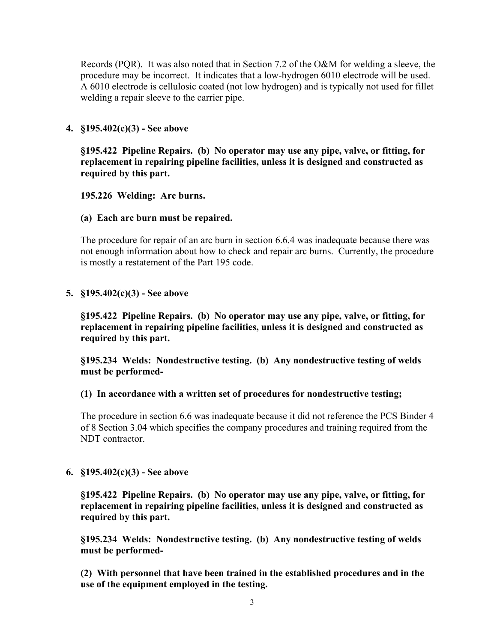Records (PQR). It was also noted that in Section 7.2 of the O&M for welding a sleeve, the procedure may be incorrect. It indicates that a low-hydrogen 6010 electrode will be used. A 6010 electrode is cellulosic coated (not low hydrogen) and is typically not used for fillet welding a repair sleeve to the carrier pipe.

## **4. §195.402(c)(3) - See above**

 **§195.422 Pipeline Repairs. (b) No operator may use any pipe, valve, or fitting, for replacement in repairing pipeline facilities, unless it is designed and constructed as required by this part.** 

### **195.226 Welding: Arc burns.**

### **(a) Each arc burn must be repaired.**

The procedure for repair of an arc burn in section 6.6.4 was inadequate because there was not enough information about how to check and repair arc burns. Currently, the procedure is mostly a restatement of the Part 195 code.

### **5. §195.402(c)(3) - See above**

**§195.422 Pipeline Repairs. (b) No operator may use any pipe, valve, or fitting, for replacement in repairing pipeline facilities, unless it is designed and constructed as required by this part.** 

**§195.234 Welds: Nondestructive testing. (b) Any nondestructive testing of welds must be performed-** 

#### **(1) In accordance with a written set of procedures for nondestructive testing;**

The procedure in section 6.6 was inadequate because it did not reference the PCS Binder 4 of 8 Section 3.04 which specifies the company procedures and training required from the NDT contractor.

## **6. §195.402(c)(3) - See above**

**§195.422 Pipeline Repairs. (b) No operator may use any pipe, valve, or fitting, for replacement in repairing pipeline facilities, unless it is designed and constructed as required by this part.** 

**§195.234 Welds: Nondestructive testing. (b) Any nondestructive testing of welds must be performed-** 

**(2) With personnel that have been trained in the established procedures and in the use of the equipment employed in the testing.**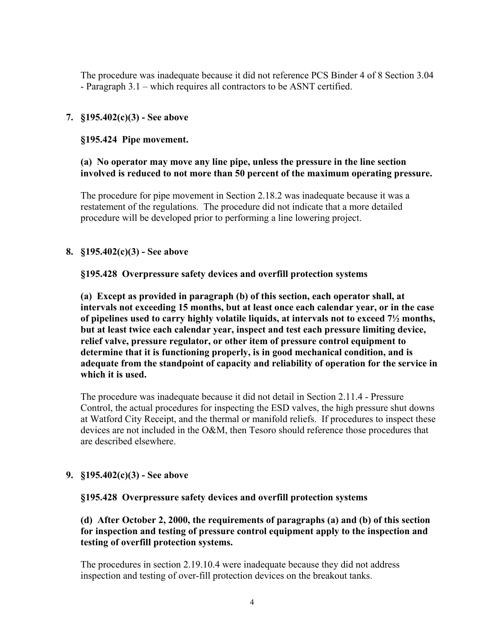The procedure was inadequate because it did not reference PCS Binder 4 of 8 Section 3.04 - Paragraph 3.1 – which requires all contractors to be ASNT certified.

## **7. §195.402(c)(3) - See above**

## **§195.424 Pipe movement.**

## **(a) No operator may move any line pipe, unless the pressure in the line section involved is reduced to not more than 50 percent of the maximum operating pressure.**

The procedure for pipe movement in Section 2.18.2 was inadequate because it was a restatement of the regulations. The procedure did not indicate that a more detailed procedure will be developed prior to performing a line lowering project.

## **8. §195.402(c)(3) - See above**

## **§195.428 Overpressure safety devices and overfill protection systems**

**(a) Except as provided in paragraph (b) of this section, each operator shall, at intervals not exceeding 15 months, but at least once each calendar year, or in the case of pipelines used to carry highly volatile liquids, at intervals not to exceed 7½ months, but at least twice each calendar year, inspect and test each pressure limiting device, relief valve, pressure regulator, or other item of pressure control equipment to determine that it is functioning properly, is in good mechanical condition, and is adequate from the standpoint of capacity and reliability of operation for the service in which it is used.** 

 The procedure was inadequate because it did not detail in Section 2.11.4 - Pressure Control, the actual procedures for inspecting the ESD valves, the high pressure shut downs at Watford City Receipt, and the thermal or manifold reliefs. If procedures to inspect these devices are not included in the O&M, then Tesoro should reference those procedures that are described elsewhere.

## **9. §195.402(c)(3) - See above**

## **§195.428 Overpressure safety devices and overfill protection systems**

## **(d) After October 2, 2000, the requirements of paragraphs (a) and (b) of this section for inspection and testing of pressure control equipment apply to the inspection and testing of overfill protection systems.**

 The procedures in section 2.19.10.4 were inadequate because they did not address inspection and testing of over-fill protection devices on the breakout tanks.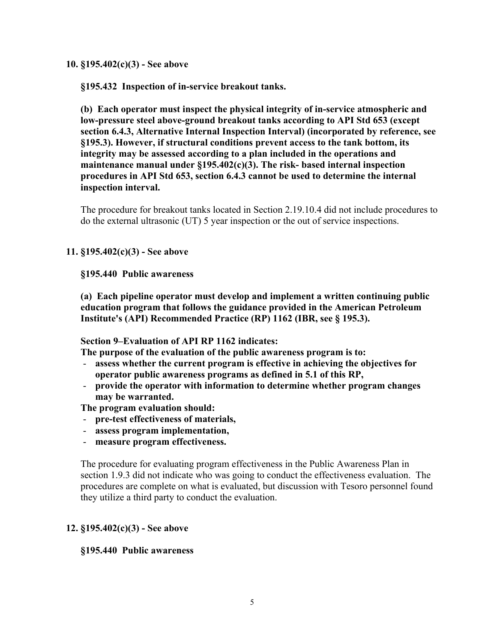#### **10. §195.402(c)(3) - See above**

**§195.432 Inspection of in-service breakout tanks.** 

**(b) Each operator must inspect the physical integrity of in-service atmospheric and low-pressure steel above-ground breakout tanks according to API Std 653 (except section 6.4.3, Alternative Internal Inspection Interval) (incorporated by reference, see §195.3). However, if structural conditions prevent access to the tank bottom, its integrity may be assessed according to a plan included in the operations and maintenance manual under §195.402(c)(3). The risk- based internal inspection procedures in API Std 653, section 6.4.3 cannot be used to determine the internal inspection interval.** 

The procedure for breakout tanks located in Section 2.19.10.4 did not include procedures to do the external ultrasonic (UT) 5 year inspection or the out of service inspections.

### **11. §195.402(c)(3) - See above**

#### **§195.440 Public awareness**

**(a) Each pipeline operator must develop and implement a written continuing public education program that follows the guidance provided in the American Petroleum Institute's (API) Recommended Practice (RP) 1162 (IBR, see § 195.3).** 

#### **Section 9–Evaluation of API RP 1162 indicates:**

**The purpose of the evaluation of the public awareness program is to:** 

- **assess whether the current program is effective in achieving the objectives for operator public awareness programs as defined in 5.1 of this RP,**
- **provide the operator with information to determine whether program changes may be warranted.**

**The program evaluation should:** 

- **pre-test effectiveness of materials,**
- **assess program implementation,**
- **measure program effectiveness.**

The procedure for evaluating program effectiveness in the Public Awareness Plan in section 1.9.3 did not indicate who was going to conduct the effectiveness evaluation. The procedures are complete on what is evaluated, but discussion with Tesoro personnel found they utilize a third party to conduct the evaluation.

#### **12. §195.402(c)(3) - See above**

#### **§195.440 Public awareness**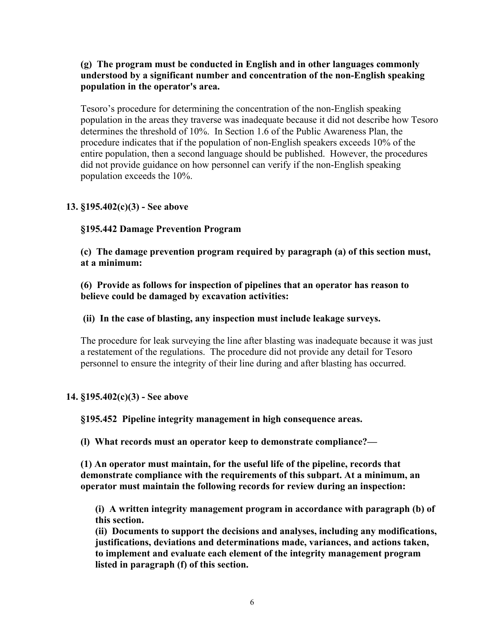## **(g) The program must be conducted in English and in other languages commonly understood by a significant number and concentration of the non-English speaking population in the operator's area.**

Tesoro's procedure for determining the concentration of the non-English speaking population in the areas they traverse was inadequate because it did not describe how Tesoro determines the threshold of 10%. In Section 1.6 of the Public Awareness Plan, the procedure indicates that if the population of non-English speakers exceeds 10% of the entire population, then a second language should be published. However, the procedures did not provide guidance on how personnel can verify if the non-English speaking population exceeds the 10%.

## **13. §195.402(c)(3) - See above**

## **§195.442 Damage Prevention Program**

**(c) The damage prevention program required by paragraph (a) of this section must, at a minimum:** 

**(6) Provide as follows for inspection of pipelines that an operator has reason to believe could be damaged by excavation activities:** 

#### **(ii) In the case of blasting, any inspection must include leakage surveys.**

The procedure for leak surveying the line after blasting was inadequate because it was just a restatement of the regulations. The procedure did not provide any detail for Tesoro personnel to ensure the integrity of their line during and after blasting has occurred.

#### **14. §195.402(c)(3) - See above**

 **§195.452 Pipeline integrity management in high consequence areas.** 

 **(l) What records must an operator keep to demonstrate compliance?—** 

 **(1) An operator must maintain, for the useful life of the pipeline, records that demonstrate compliance with the requirements of this subpart. At a minimum, an operator must maintain the following records for review during an inspection:** 

 **(i) A written integrity management program in accordance with paragraph (b) of this section.** 

 **(ii) Documents to support the decisions and analyses, including any modifications, justifications, deviations and determinations made, variances, and actions taken, to implement and evaluate each element of the integrity management program listed in paragraph (f) of this section.**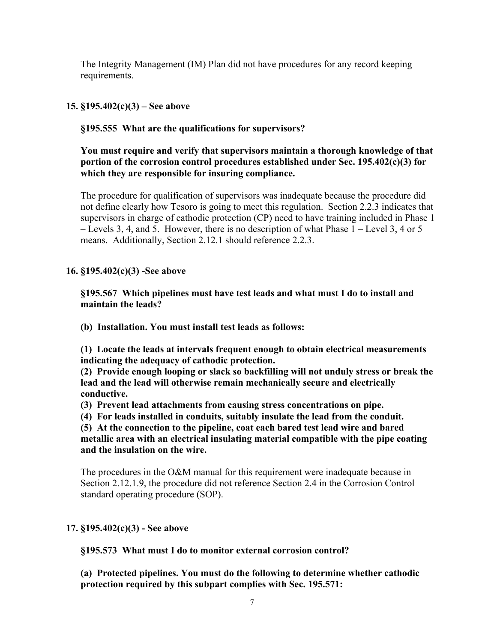The Integrity Management (IM) Plan did not have procedures for any record keeping requirements.

**15. §195.402(c)(3) – See above** 

**§195.555 What are the qualifications for supervisors?** 

**You must require and verify that supervisors maintain a thorough knowledge of that portion of the corrosion control procedures established under Sec. 195.402(c)(3) for which they are responsible for insuring compliance.** 

The procedure for qualification of supervisors was inadequate because the procedure did not define clearly how Tesoro is going to meet this regulation. Section 2.2.3 indicates that supervisors in charge of cathodic protection (CP) need to have training included in Phase 1 – Levels 3, 4, and 5. However, there is no description of what Phase 1 – Level 3, 4 or 5 means. Additionally, Section 2.12.1 should reference 2.2.3.

**16. §195.402(c)(3) -See above** 

**§195.567 Which pipelines must have test leads and what must I do to install and maintain the leads?** 

**(b) Installation. You must install test leads as follows:** 

**(1) Locate the leads at intervals frequent enough to obtain electrical measurements indicating the adequacy of cathodic protection.** 

**(2) Provide enough looping or slack so backfilling will not unduly stress or break the lead and the lead will otherwise remain mechanically secure and electrically conductive.** 

**(3) Prevent lead attachments from causing stress concentrations on pipe.** 

**(4) For leads installed in conduits, suitably insulate the lead from the conduit.** 

**(5) At the connection to the pipeline, coat each bared test lead wire and bared metallic area with an electrical insulating material compatible with the pipe coating and the insulation on the wire.** 

The procedures in the O&M manual for this requirement were inadequate because in Section 2.12.1.9, the procedure did not reference Section 2.4 in the Corrosion Control standard operating procedure (SOP).

## **17. §195.402(c)(3) - See above**

**§195.573 What must I do to monitor external corrosion control?**

**(a) Protected pipelines. You must do the following to determine whether cathodic protection required by this subpart complies with Sec. 195.571:**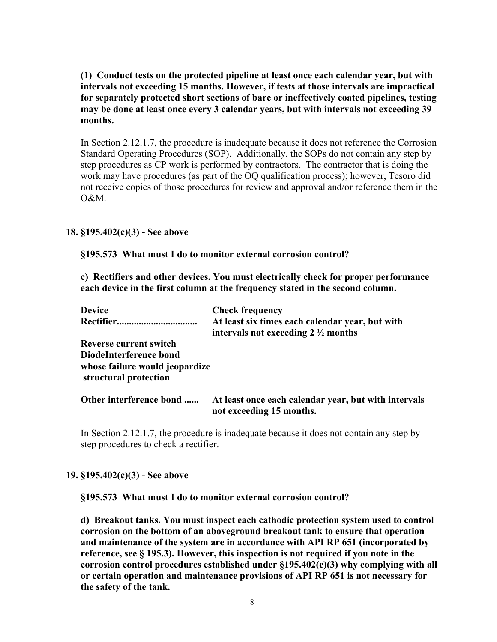**(1) Conduct tests on the protected pipeline at least once each calendar year, but with intervals not exceeding 15 months. However, if tests at those intervals are impractical for separately protected short sections of bare or ineffectively coated pipelines, testing may be done at least once every 3 calendar years, but with intervals not exceeding 39 months.** 

In Section 2.12.1.7, the procedure is inadequate because it does not reference the Corrosion Standard Operating Procedures (SOP). Additionally, the SOPs do not contain any step by step procedures as CP work is performed by contractors. The contractor that is doing the work may have procedures (as part of the OQ qualification process); however, Tesoro did not receive copies of those procedures for review and approval and/or reference them in the O&M.

### **18. §195.402(c)(3) - See above**

 **§195.573 What must I do to monitor external corrosion control?** 

**c) Rectifiers and other devices. You must electrically check for proper performance each device in the first column at the frequency stated in the second column.** 

| <b>Device</b>                                           | <b>Check frequency</b>                                                                           |
|---------------------------------------------------------|--------------------------------------------------------------------------------------------------|
| <b>Rectifier</b>                                        | At least six times each calendar year, but with<br>intervals not exceeding $2\frac{1}{2}$ months |
| <b>Reverse current switch</b>                           |                                                                                                  |
| DiodeInterference bond                                  |                                                                                                  |
| whose failure would jeopardize<br>structural protection |                                                                                                  |
| Other interference bond                                 | At least once each calendar year, but with intervals<br>not exceeding 15 months.                 |

In Section 2.12.1.7, the procedure is inadequate because it does not contain any step by step procedures to check a rectifier.

#### **19. §195.402(c)(3) - See above**

 **§195.573 What must I do to monitor external corrosion control?**

**d) Breakout tanks. You must inspect each cathodic protection system used to control corrosion on the bottom of an aboveground breakout tank to ensure that operation and maintenance of the system are in accordance with API RP 651 (incorporated by reference, see § 195.3). However, this inspection is not required if you note in the corrosion control procedures established under §195.402(c)(3) why complying with all or certain operation and maintenance provisions of API RP 651 is not necessary for the safety of the tank.**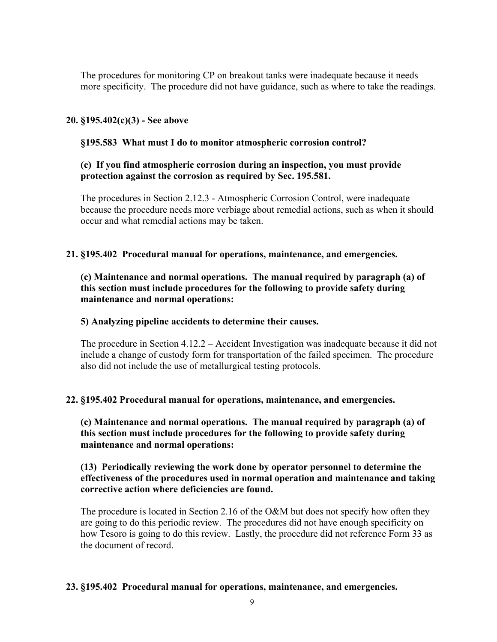The procedures for monitoring CP on breakout tanks were inadequate because it needs more specificity. The procedure did not have guidance, such as where to take the readings.

## **20. §195.402(c)(3) - See above**

#### **§195.583 What must I do to monitor atmospheric corrosion control?**

## **(c) If you find atmospheric corrosion during an inspection, you must provide protection against the corrosion as required by Sec. 195.581.**

The procedures in Section 2.12.3 - Atmospheric Corrosion Control, were inadequate because the procedure needs more verbiage about remedial actions, such as when it should occur and what remedial actions may be taken.

#### **21. §195.402 Procedural manual for operations, maintenance, and emergencies.**

 **(c) Maintenance and normal operations. The manual required by paragraph (a) of this section must include procedures for the following to provide safety during maintenance and normal operations:** 

#### **5) Analyzing pipeline accidents to determine their causes.**

The procedure in Section 4.12.2 – Accident Investigation was inadequate because it did not include a change of custody form for transportation of the failed specimen. The procedure also did not include the use of metallurgical testing protocols.

#### **22. §195.402 Procedural manual for operations, maintenance, and emergencies.**

 **(c) Maintenance and normal operations. The manual required by paragraph (a) of this section must include procedures for the following to provide safety during maintenance and normal operations:** 

#### **(13) Periodically reviewing the work done by operator personnel to determine the effectiveness of the procedures used in normal operation and maintenance and taking corrective action where deficiencies are found.**

The procedure is located in Section 2.16 of the O&M but does not specify how often they are going to do this periodic review. The procedures did not have enough specificity on how Tesoro is going to do this review. Lastly, the procedure did not reference Form 33 as the document of record.

#### **23. §195.402 Procedural manual for operations, maintenance, and emergencies.**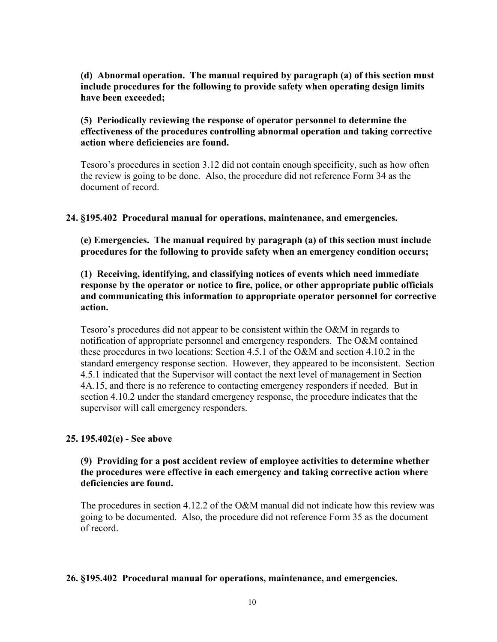## **(d) Abnormal operation. The manual required by paragraph (a) of this section must include procedures for the following to provide safety when operating design limits have been exceeded;**

## **(5) Periodically reviewing the response of operator personnel to determine the effectiveness of the procedures controlling abnormal operation and taking corrective action where deficiencies are found.**

Tesoro's procedures in section 3.12 did not contain enough specificity, such as how often the review is going to be done. Also, the procedure did not reference Form 34 as the document of record.

### **24. §195.402 Procedural manual for operations, maintenance, and emergencies.**

 **(e) Emergencies. The manual required by paragraph (a) of this section must include procedures for the following to provide safety when an emergency condition occurs;** 

**(1) Receiving, identifying, and classifying notices of events which need immediate response by the operator or notice to fire, police, or other appropriate public officials and communicating this information to appropriate operator personnel for corrective action.** 

Tesoro's procedures did not appear to be consistent within the O&M in regards to notification of appropriate personnel and emergency responders. The O&M contained these procedures in two locations: Section 4.5.1 of the O&M and section 4.10.2 in the standard emergency response section. However, they appeared to be inconsistent. Section 4.5.1 indicated that the Supervisor will contact the next level of management in Section 4A.15, and there is no reference to contacting emergency responders if needed. But in section 4.10.2 under the standard emergency response, the procedure indicates that the supervisor will call emergency responders.

#### **25. 195.402(e) - See above**

#### **(9) Providing for a post accident review of employee activities to determine whether the procedures were effective in each emergency and taking corrective action where deficiencies are found.**

The procedures in section 4.12.2 of the O&M manual did not indicate how this review was going to be documented. Also, the procedure did not reference Form 35 as the document of record.

#### **26. §195.402 Procedural manual for operations, maintenance, and emergencies.**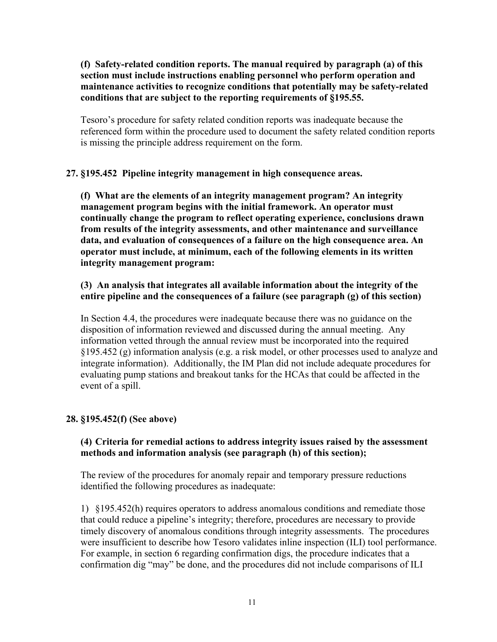**(f) Safety-related condition reports. The manual required by paragraph (a) of this section must include instructions enabling personnel who perform operation and maintenance activities to recognize conditions that potentially may be safety-related conditions that are subject to the reporting requirements of §195.55.** 

 Tesoro's procedure for safety related condition reports was inadequate because the referenced form within the procedure used to document the safety related condition reports is missing the principle address requirement on the form.

### **27. §195.452 Pipeline integrity management in high consequence areas.**

**(f) What are the elements of an integrity management program? An integrity management program begins with the initial framework. An operator must continually change the program to reflect operating experience, conclusions drawn from results of the integrity assessments, and other maintenance and surveillance data, and evaluation of consequences of a failure on the high consequence area. An operator must include, at minimum, each of the following elements in its written integrity management program:** 

### **(3) An analysis that integrates all available information about the integrity of the entire pipeline and the consequences of a failure (see paragraph (g) of this section)**

 In Section 4.4, the procedures were inadequate because there was no guidance on the disposition of information reviewed and discussed during the annual meeting. Any information vetted through the annual review must be incorporated into the required §195.452 (g) information analysis (e.g. a risk model, or other processes used to analyze and integrate information). Additionally, the IM Plan did not include adequate procedures for evaluating pump stations and breakout tanks for the HCAs that could be affected in the event of a spill.

## **28. §195.452(f) (See above)**

### **(4) Criteria for remedial actions to address integrity issues raised by the assessment methods and information analysis (see paragraph (h) of this section);**

The review of the procedures for anomaly repair and temporary pressure reductions identified the following procedures as inadequate:

1) §195.452(h) requires operators to address anomalous conditions and remediate those that could reduce a pipeline's integrity; therefore, procedures are necessary to provide timely discovery of anomalous conditions through integrity assessments. The procedures were insufficient to describe how Tesoro validates inline inspection (ILI) tool performance. For example, in section 6 regarding confirmation digs, the procedure indicates that a confirmation dig "may" be done, and the procedures did not include comparisons of ILI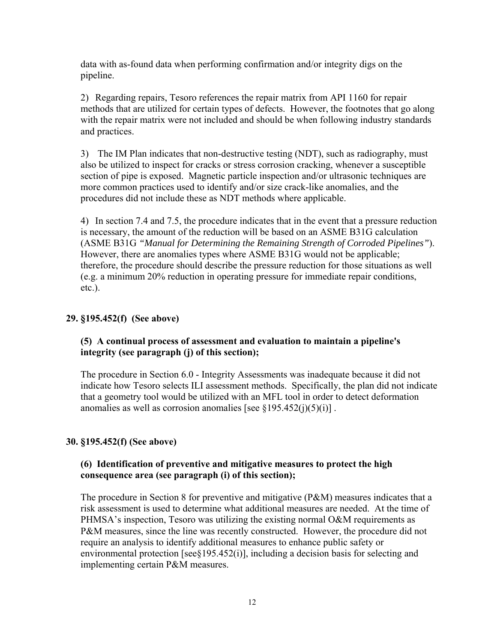data with as-found data when performing confirmation and/or integrity digs on the pipeline.

2) Regarding repairs, Tesoro references the repair matrix from API 1160 for repair methods that are utilized for certain types of defects. However, the footnotes that go along with the repair matrix were not included and should be when following industry standards and practices.

3) The IM Plan indicates that non-destructive testing (NDT), such as radiography, must also be utilized to inspect for cracks or stress corrosion cracking, whenever a susceptible section of pipe is exposed. Magnetic particle inspection and/or ultrasonic techniques are more common practices used to identify and/or size crack-like anomalies, and the procedures did not include these as NDT methods where applicable.

 4) In section 7.4 and 7.5, the procedure indicates that in the event that a pressure reduction is necessary, the amount of the reduction will be based on an ASME B31G calculation (ASME B31G *"Manual for Determining the Remaining Strength of Corroded Pipelines"*). However, there are anomalies types where ASME B31G would not be applicable; therefore, the procedure should describe the pressure reduction for those situations as well (e.g. a minimum 20% reduction in operating pressure for immediate repair conditions, etc.).

#### **29. §195.452(f) (See above)**

## **(5) A continual process of assessment and evaluation to maintain a pipeline's integrity (see paragraph (j) of this section);**

The procedure in Section 6.0 - Integrity Assessments was inadequate because it did not indicate how Tesoro selects ILI assessment methods. Specifically, the plan did not indicate that a geometry tool would be utilized with an MFL tool in order to detect deformation anomalies as well as corrosion anomalies [see  $\S 195.452(i)(5)(i)$ ].

## **30. §195.452(f) (See above)**

## **(6) Identification of preventive and mitigative measures to protect the high consequence area (see paragraph (i) of this section);**

 The procedure in Section 8 for preventive and mitigative (P&M) measures indicates that a risk assessment is used to determine what additional measures are needed. At the time of PHMSA's inspection, Tesoro was utilizing the existing normal O&M requirements as P&M measures, since the line was recently constructed. However, the procedure did not require an analysis to identify additional measures to enhance public safety or environmental protection [see§195.452(i)], including a decision basis for selecting and implementing certain P&M measures.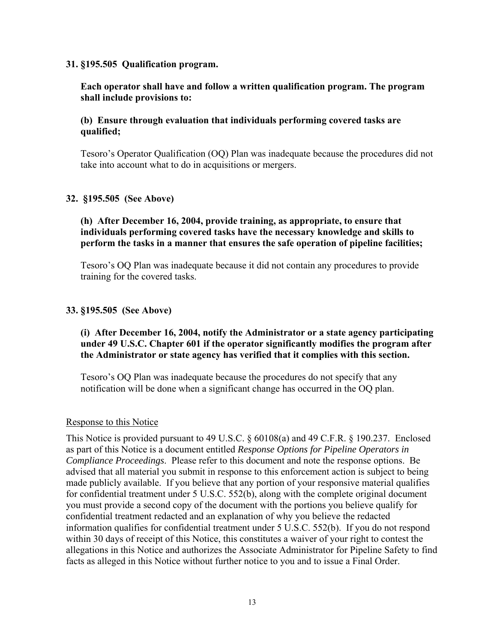#### **31. §195.505 Qualification program.**

#### **Each operator shall have and follow a written qualification program. The program shall include provisions to:**

#### **(b) Ensure through evaluation that individuals performing covered tasks are qualified;**

 Tesoro's Operator Qualification (OQ) Plan was inadequate because the procedures did not take into account what to do in acquisitions or mergers.

### **32. §195.505 (See Above)**

## **(h) After December 16, 2004, provide training, as appropriate, to ensure that individuals performing covered tasks have the necessary knowledge and skills to perform the tasks in a manner that ensures the safe operation of pipeline facilities;**

 Tesoro's OQ Plan was inadequate because it did not contain any procedures to provide training for the covered tasks.

### **33. §195.505 (See Above)**

## **(i) After December 16, 2004, notify the Administrator or a state agency participating under 49 U.S.C. Chapter 601 if the operator significantly modifies the program after the Administrator or state agency has verified that it complies with this section.**

 Tesoro's OQ Plan was inadequate because the procedures do not specify that any notification will be done when a significant change has occurred in the OQ plan.

#### Response to this Notice

This Notice is provided pursuant to 49 U.S.C. § 60108(a) and 49 C.F.R. § 190.237. Enclosed as part of this Notice is a document entitled *Response Options for Pipeline Operators in Compliance Proceedings*. Please refer to this document and note the response options. Be advised that all material you submit in response to this enforcement action is subject to being made publicly available. If you believe that any portion of your responsive material qualifies for confidential treatment under 5 U.S.C. 552(b), along with the complete original document you must provide a second copy of the document with the portions you believe qualify for confidential treatment redacted and an explanation of why you believe the redacted information qualifies for confidential treatment under 5 U.S.C. 552(b). If you do not respond within 30 days of receipt of this Notice, this constitutes a waiver of your right to contest the allegations in this Notice and authorizes the Associate Administrator for Pipeline Safety to find facts as alleged in this Notice without further notice to you and to issue a Final Order.